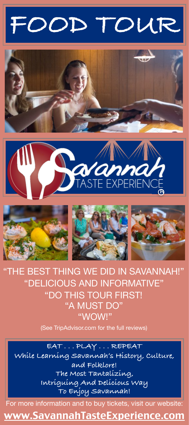# **FOOD TOUR**











"THE BEST THING WE DID IN SAVANNAH!" "DELICIOUS AND INFORMATIVE" "DO THIS TOUR FIRST! "A MUST DO" "WOW!"

(See TripAdvisor.com for the full reviews)

**EAT . . . PLAY . . . REPEAT While Learning Savannah's History, Culture, and Folklore! The Most Tantalizing, Intriguing And Delicious Way To Enjoy Savannah!** 

For more information and to buy tickets, visit our website:

[www.SavannahTasteExperience.com](http://www.SavannahTasteEcperience.com)